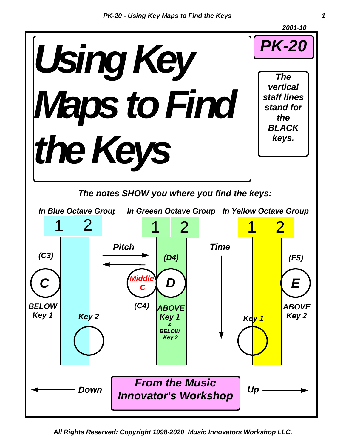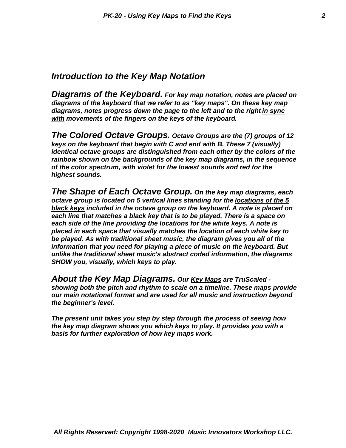#### *Introduction to the Key Map Notation*

*Diagrams of the Keyboard. For key map notation, notes are placed on diagrams of the keyboard that we refer to as "key maps". On these key map diagrams, notes progress down the page to the left and to the right in sync with movements of the fingers on the keys of the keyboard.*

*The Colored Octave Groups. Octave Groups are the (7) groups of 12 keys on the keyboard that begin with C and end with B. These 7 (visually) identical octave groups are distinguished from each other by the colors of the rainbow shown on the backgrounds of the key map diagrams, in the sequence of the color spectrum, with violet for the lowest sounds and red for the highest sounds.*

*The Shape of Each Octave Group. On the key map diagrams, each octave group is located on 5 vertical lines standing for the locations of the 5 black keys included in the octave group on the keyboard. A note is placed on each line that matches a black key that is to be played. There is a space on each side of the line providing the locations for the white keys. A note is placed in each space that visually matches the location of each white key to be played. As with traditional sheet music, the diagram gives you all of the information that you need for playing a piece of music on the keyboard. But unlike the traditional sheet music's abstract coded information, the diagrams SHOW you, visually, which keys to play.*

*About the Key Map Diagrams. Our Key Maps are TruScaled showing both the pitch and rhythm to scale on a timeline. These maps provide our main notational format and are used for all music and instruction beyond the beginner's level.*

*The present unit takes you step by step through the process of seeing how the key map diagram shows you which keys to play. It provides you with a basis for further exploration of how key maps work.*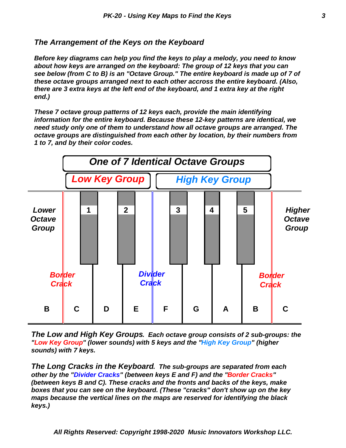#### *The Arrangement of the Keys on the Keyboard*

*Before key diagrams can help you find the keys to play a melody, you need to know about how keys are arranged on the keyboard: The group of 12 keys that you can see below (from C to B) is an "Octave Group." The entire keyboard is made up of 7 of these octave groups arranged next to each other accross the entire keyboard. (Also, there are 3 extra keys at the left end of the keyboard, and 1 extra key at the right end.)*

*These 7 octave group patterns of 12 keys each, provide the main identifying information for the entire keyboard. Because these 12-key patterns are identical, we need study only one of them to understand how all octave groups are arranged. The octave groups are distinguished from each other by location, by their numbers from 1 to 7, and by their color codes.*



*The Low and High Key Groups. Each octave group consists of 2 sub-groups: the "Low Key Group" (lower sounds) with 5 keys and the "High Key Group" (higher sounds) with 7 keys.*

*The Long Cracks in the Keyboard. The sub-groups are separated from each other by the "Divider Cracks" (between keys E and F) and the "Border Cracks" (between keys B and C). These cracks and the fronts and backs of the keys, make boxes that you can see on the keyboard. (These "cracks" don't show up on the key maps because the vertical lines on the maps are reserved for identifying the black keys.)*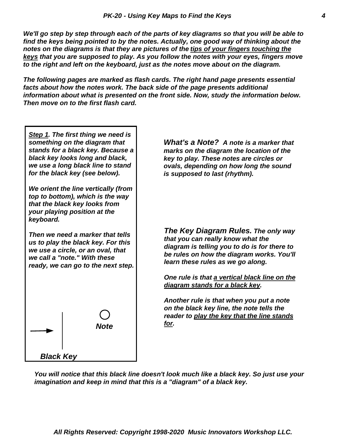*We'll go step by step through each of the parts of key diagrams so that you will be able to find the keys being pointed to by the notes. Actually, one good way of thinking about the notes on the diagrams is that they are pictures of the tips of your fingers touching the keys that you are supposed to play. As you follow the notes with your eyes, fingers move to the right and left on the keyboard, just as the notes move about on the diagram.*

*The following pages are marked as flash cards. The right hand page presents essential facts about how the notes work. The back side of the page presents additional information about what is presented on the front side. Now, study the information below. Then move on to the first flash card.*

*Step 1. The first thing we need is something on the diagram that stands for a black key. Because a black key looks long and black, we use a long black line to stand for the black key (see below).*

*We orient the line vertically (from top to bottom), which is the way that the black key looks from your playing position at the keyboard.*

*Then we need a marker that tells us to play the black key. For this we use a circle, or an oval, that we call a "note." With these ready, we can go to the next step.*



*What's a Note? A note is a marker that marks on the diagram the location of the key to play. These notes are circles or ovals, depending on how long the sound is supposed to last (rhythm).*

*The Key Diagram Rules. The only way that you can really know what the diagram is telling you to do is for there to be rules on how the diagram works. You'll learn these rules as we go along.*

*One rule is that a vertical black line on the diagram stands for a black key.*

*Another rule is that when you put a note on the black key line, the note tells the reader to play the key that the line stands for.*

*You will notice that this black line doesn't look much like a black key. So just use your imagination and keep in mind that this is a "diagram" of a black key.*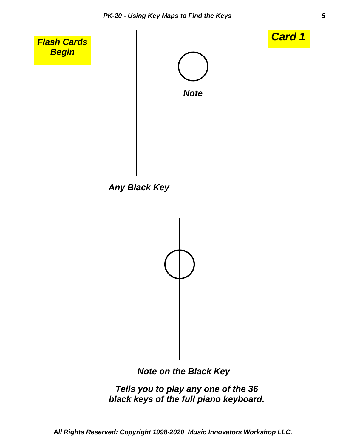



### *Note on the Black Key*

*Tells you to play any one of the 36 black keys of the full piano keyboard.*

*All Rights Reserved: Copyright 1998-2020 Music Innovators Workshop LLC.*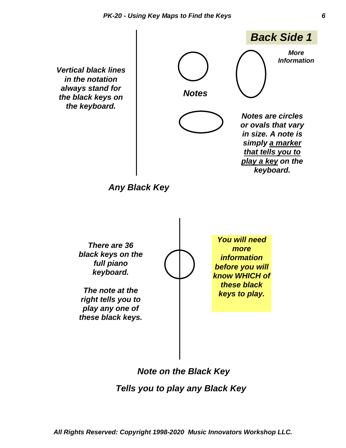*Vertical black lines in the notation always stand for the black keys on the keyboard.*



*Any Black Key*



*Note on the Black Key*

 *Tells you to play any Black Key*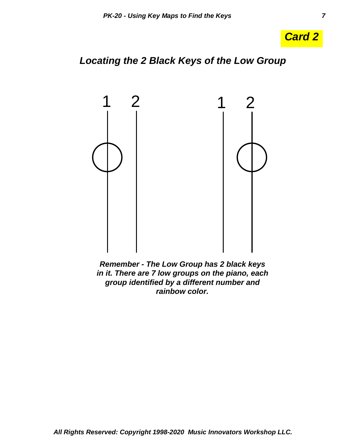

## *Locating the 2 Black Keys of the Low Group*



*Remember - The Low Group has 2 black keys in it. There are 7 low groups on the piano, each group identified by a different number and rainbow color.*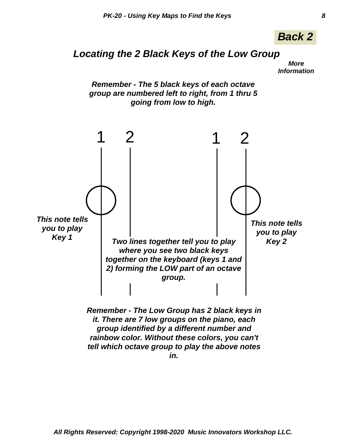

## *Locating the 2 Black Keys of the Low Group*

*More Information*



*in.*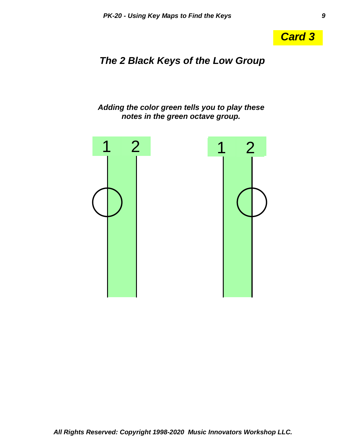

# *The 2 Black Keys of the Low Group*

*Adding the color green tells you to play these notes in the green octave group.*

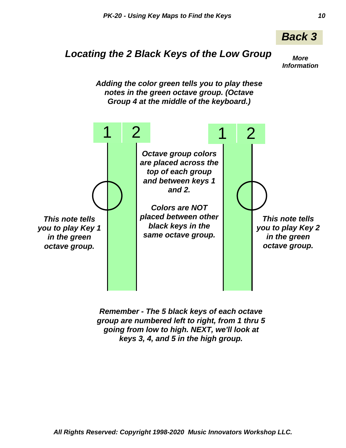

# *Locating the 2 Black Keys of the Low Group*

*More Information*

*Adding the color green tells you to play these notes in the green octave group. (Octave Group 4 at the middle of the keyboard.)*



*Remember - The 5 black keys of each octave group are numbered left to right, from 1 thru 5 going from low to high. NEXT, we'll look at keys 3, 4, and 5 in the high group.*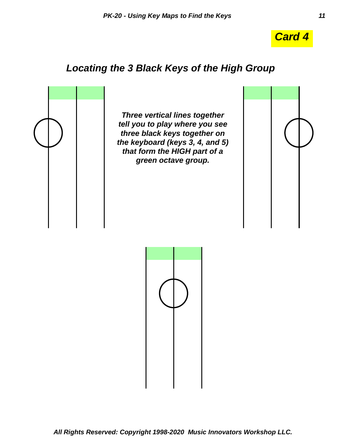

# *Locating the 3 Black Keys of the High Group*



*Three vertical lines together tell you to play where you see three black keys together on the keyboard (keys 3, 4, and 5) that form the HIGH part of a green octave group.*



*All Rights Reserved: Copyright 1998-2020 Music Innovators Workshop LLC.*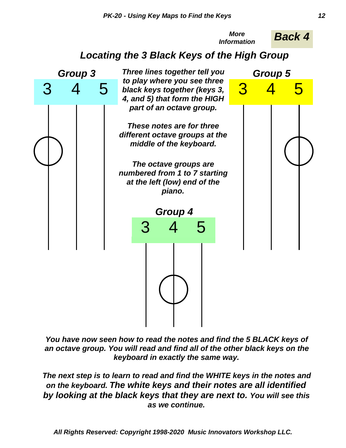

*You have now seen how to read the notes and find the 5 BLACK keys of an octave group. You will read and find all of the other black keys on the keyboard in exactly the same way.*

*The next step is to learn to read and find the WHITE keys in the notes and on the keyboard. The white keys and their notes are all identified by looking at the black keys that they are next to. You will see this as we continue.*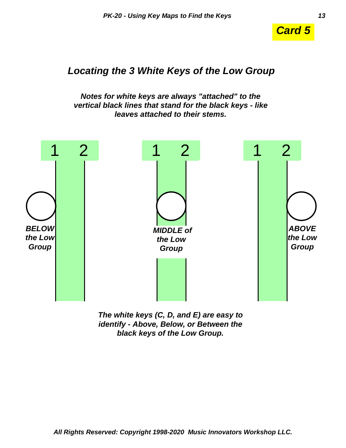

### *Locating the 3 White Keys of the Low Group*

*Notes for white keys are always "attached" to the vertical black lines that stand for the black keys - like leaves attached to their stems.*



*The white keys (C, D, and E) are easy to identify - Above, Below, or Between the black keys of the Low Group.*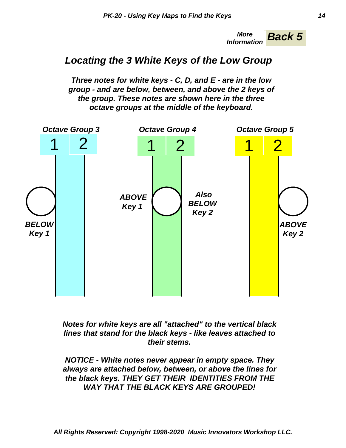*Back 5 More Information*

## *Locating the 3 White Keys of the Low Group*

*Three notes for white keys - C, D, and E - are in the low group - and are below, between, and above the 2 keys of the group. These notes are shown here in the three octave groups at the middle of the keyboard.*



*Notes for white keys are all "attached" to the vertical black lines that stand for the black keys - like leaves attached to their stems.*

*NOTICE - White notes never appear in empty space. They always are attached below, between, or above the lines for the black keys. THEY GET THEIR IDENTITIES FROM THE WAY THAT THE BLACK KEYS ARE GROUPED!*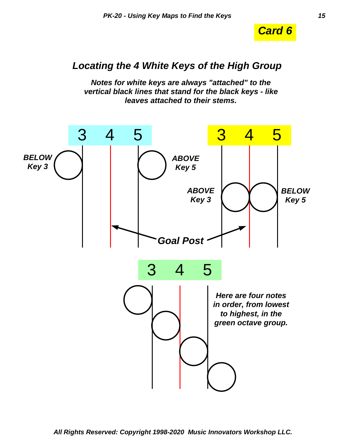

## *Locating the 4 White Keys of the High Group*

*Notes for white keys are always "attached" to the vertical black lines that stand for the black keys - like leaves attached to their stems.*

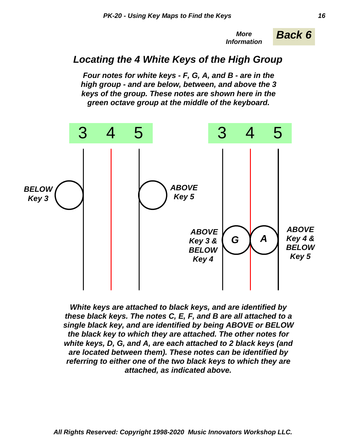*More Back 6 Information*

## *Locating the 4 White Keys of the High Group*

*Four notes for white keys - F, G, A, and B - are in the high group - and are below, between, and above the 3 keys of the group. These notes are shown here in the green octave group at the middle of the keyboard.*



*White keys are attached to black keys, and are identified by these black keys. The notes C, E, F, and B are all attached to a single black key, and are identified by being ABOVE or BELOW the black key to which they are attached. The other notes for white keys, D, G, and A, are each attached to 2 black keys (and are located between them). These notes can be identified by referring to either one of the two black keys to which they are attached, as indicated above.*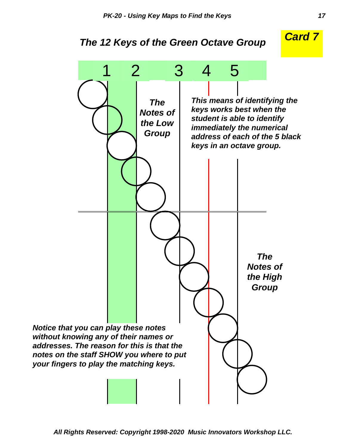## *The 12 Keys of the Green Octave Group*



*All Rights Reserved: Copyright 1998-2020 Music Innovators Workshop LLC.*

*Card 7*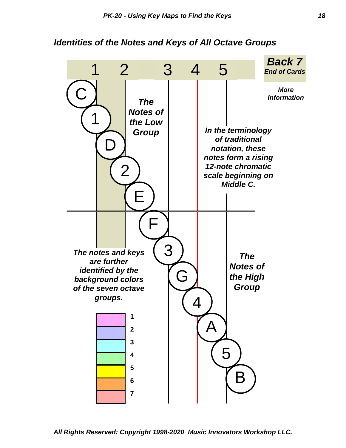#### *Identities of the Notes and Keys of All Octave Groups*



*All Rights Reserved: Copyright 1998-2020 Music Innovators Workshop LLC.*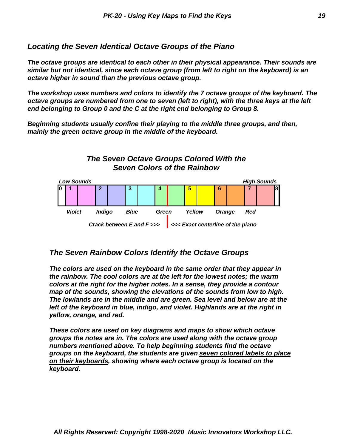#### *Locating the Seven Identical Octave Groups of the Piano*

*The octave groups are identical to each other in their physical appearance. Their sounds are similar but not identical, since each octave group (from left to right on the keyboard) is an octave higher in sound than the previous octave group.*

*The workshop uses numbers and colors to identify the 7 octave groups of the keyboard. The octave groups are numbered from one to seven (left to right), with the three keys at the left end belonging to Group 0 and the C at the right end belonging to Group 8.*

*Beginning students usually confine their playing to the middle three groups, and then, mainly the green octave group in the middle of the keyboard.*



*Crack between E and F >>> <<< Exact centerline of the piano*

#### *The Seven Rainbow Colors Identify the Octave Groups*

*The colors are used on the keyboard in the same order that they appear in the rainbow. The cool colors are at the left for the lowest notes; the warm colors at the right for the higher notes. In a sense, they provide a contour map of the sounds, showing the elevations of the sounds from low to high. The lowlands are in the middle and are green. Sea level and below are at the left of the keyboard in blue, indigo, and violet. Highlands are at the right in yellow, orange, and red.*

*These colors are used on key diagrams and maps to show which octave groups the notes are in. The colors are used along with the octave group numbers mentioned above. To help beginning students find the octave groups on the keyboard, the students are given seven colored labels to place on their keyboards, showing where each octave group is located on the keyboard.*